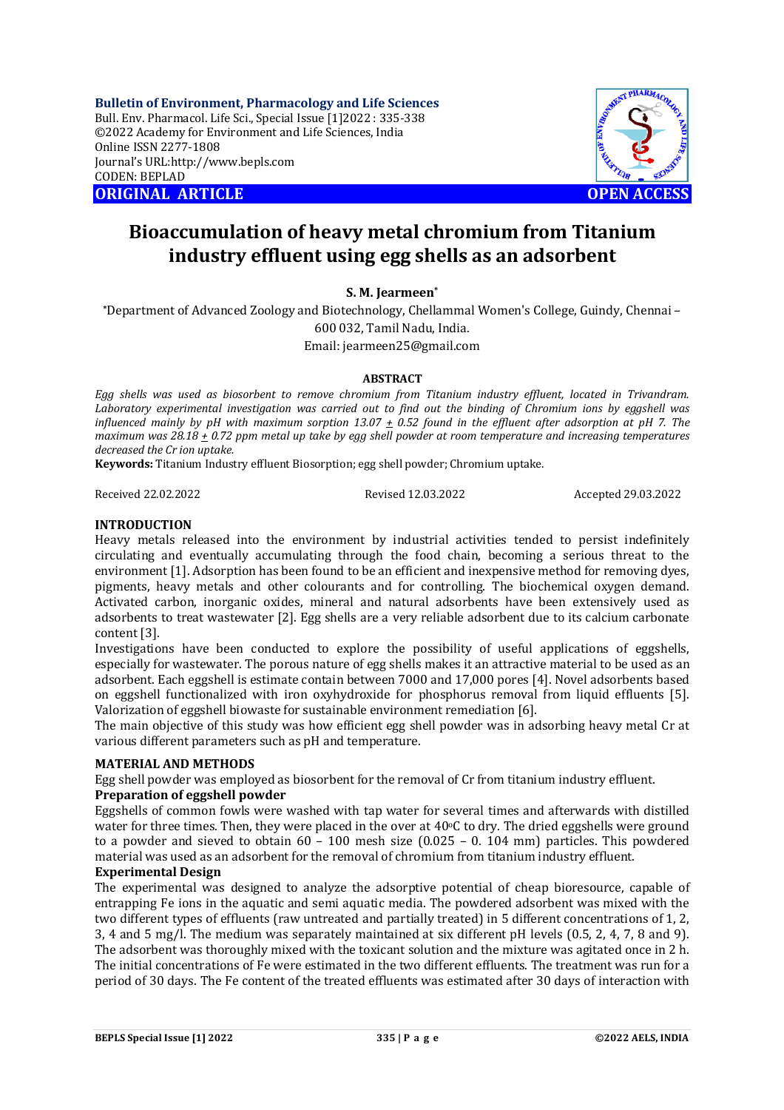**Bulletin of Environment, Pharmacology and Life Sciences** Bull. Env. Pharmacol. Life Sci., Special Issue [1]2022 : 335-338 ©2022 Academy for Environment and Life Sciences, India Online ISSN 2277-1808 Journal's URL:<http://www.bepls.com> CODEN: BEPLAD **ORIGINAL ARTICLE OPEN ACCESS** 



# **Bioaccumulation of heavy metal chromium from Titanium industry effluent using egg shells as an adsorbent**

**S. M. Jearmeen\***

**\***Department of Advanced Zoology and Biotechnology, Chellammal Women's College, Guindy, Chennai – 600 032, Tamil Nadu, India. Email: [jearmeen25@gmail.com](mailto:jearmeen25@gmail.com)

### **ABSTRACT**

*Egg shells was used as biosorbent to remove chromium from Titanium industry effluent, located in Trivandram. Laboratory experimental investigation was carried out to find out the binding of Chromium ions by eggshell was influenced mainly by pH with maximum sorption*  $13.07 \pm 0.52$  *found in the effluent after adsorption at pH 7. The maximum was 28.18 + 0.72 ppm metal up take by egg shell powder at room temperature and increasing temperatures decreased the Cr ion uptake.*

**Keywords:** Titanium Industry effluent Biosorption; egg shell powder; Chromium uptake.

Received 22.02.2022 Revised 12.03.2022 Accepted 29.03.2022

### **INTRODUCTION**

Heavy metals released into the environment by industrial activities tended to persist indefinitely circulating and eventually accumulating through the food chain, becoming a serious threat to the environment [1]. Adsorption has been found to be an efficient and inexpensive method for removing dyes, pigments, heavy metals and other colourants and for controlling. The biochemical oxygen demand. Activated carbon, inorganic oxides, mineral and natural adsorbents have been extensively used as adsorbents to treat wastewater [2]. Egg shells are a very reliable adsorbent due to its calcium carbonate content [3].

Investigations have been conducted to explore the possibility of useful applications of eggshells, especially for wastewater. The porous nature of egg shells makes it an attractive material to be used as an adsorbent. Each eggshell is estimate contain between 7000 and 17,000 pores [4]. Novel adsorbents based on eggshell functionalized with iron oxyhydroxide for phosphorus removal from liquid effluents [5]. Valorization of eggshell biowaste for sustainable environment remediation [6].

The main objective of this study was how efficient egg shell powder was in adsorbing heavy metal Cr at various different parameters such as pH and temperature.

### **MATERIAL AND METHODS**

Egg shell powder was employed as biosorbent for the removal of Cr from titanium industry effluent. **Preparation of eggshell powder**

Eggshells of common fowls were washed with tap water for several times and afterwards with distilled water for three times. Then, they were placed in the over at  $40^{\circ}$ C to dry. The dried eggshells were ground to a powder and sieved to obtain  $60 - 100$  mesh size  $(0.025 - 0.104$  mm) particles. This powdered material was used as an adsorbent for the removal of chromium from titanium industry effluent.

# **Experimental Design**

The experimental was designed to analyze the adsorptive potential of cheap bioresource, capable of entrapping Fe ions in the aquatic and semi aquatic media. The powdered adsorbent was mixed with the two different types of effluents (raw untreated and partially treated) in 5 different concentrations of 1, 2, 3, 4 and 5 mg/l. The medium was separately maintained at six different pH levels (0.5, 2, 4, 7, 8 and 9). The adsorbent was thoroughly mixed with the toxicant solution and the mixture was agitated once in 2 h. The initial concentrations of Fe were estimated in the two different effluents. The treatment was run for a period of 30 days. The Fe content of the treated effluents was estimated after 30 days of interaction with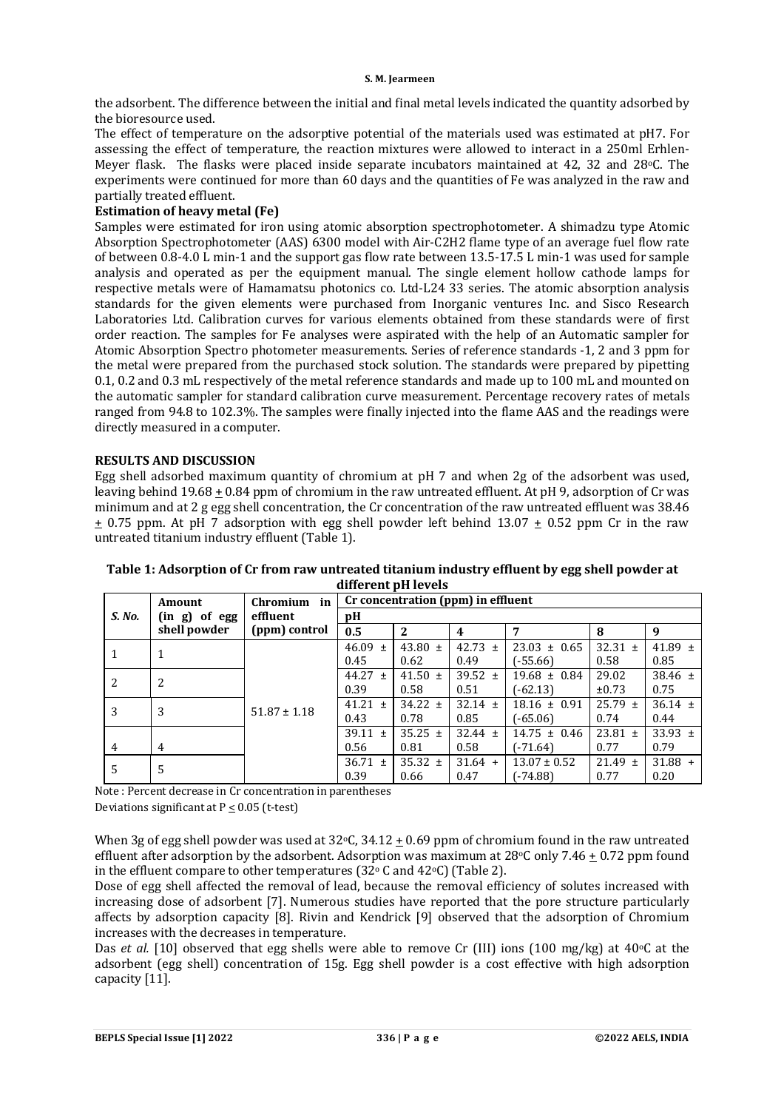#### **S. M. Jearmeen**

the adsorbent. The difference between the initial and final metal levels indicated the quantity adsorbed by the bioresource used.

The effect of temperature on the adsorptive potential of the materials used was estimated at pH7. For assessing the effect of temperature, the reaction mixtures were allowed to interact in a 250ml Erhlen-Meyer flask. The flasks were placed inside separate incubators maintained at 42, 32 and 28oC. The experiments were continued for more than 60 days and the quantities of Fe was analyzed in the raw and partially treated effluent.

# **Estimation of heavy metal (Fe)**

Samples were estimated for iron using atomic absorption spectrophotometer. A shimadzu type Atomic Absorption Spectrophotometer (AAS) 6300 model with Air-C2H2 flame type of an average fuel flow rate of between 0.8-4.0 L min-1 and the support gas flow rate between 13.5-17.5 L min-1 was used for sample analysis and operated as per the equipment manual. The single element hollow cathode lamps for respective metals were of Hamamatsu photonics co. Ltd-L24 33 series. The atomic absorption analysis standards for the given elements were purchased from Inorganic ventures Inc. and Sisco Research Laboratories Ltd. Calibration curves for various elements obtained from these standards were of first order reaction. The samples for Fe analyses were aspirated with the help of an Automatic sampler for Atomic Absorption Spectro photometer measurements. Series of reference standards -1, 2 and 3 ppm for the metal were prepared from the purchased stock solution. The standards were prepared by pipetting 0.1, 0.2 and 0.3 mL respectively of the metal reference standards and made up to 100 mL and mounted on the automatic sampler for standard calibration curve measurement. Percentage recovery rates of metals ranged from 94.8 to 102.3%. The samples were finally injected into the flame AAS and the readings were directly measured in a computer.

### **RESULTS AND DISCUSSION**

Egg shell adsorbed maximum quantity of chromium at pH 7 and when 2g of the adsorbent was used, leaving behind 19.68 + 0.84 ppm of chromium in the raw untreated effluent. At pH 9, adsorption of Cr was minimum and at 2 g egg shell concentration, the Cr concentration of the raw untreated effluent was 38.46  $\pm$  0.75 ppm. At pH 7 adsorption with egg shell powder left behind 13.07  $\pm$  0.52 ppm Cr in the raw untreated titanium industry effluent (Table 1).

|                | Amount        | in<br>Chromium   |             |             | Cr concentration (ppm) in effluent |                  |             |             |
|----------------|---------------|------------------|-------------|-------------|------------------------------------|------------------|-------------|-------------|
| S. No.         | (in g) of egg | efiluent         | vН          |             |                                    |                  |             |             |
|                | shell powder  | (ppm) control    | 0.5         | 2           | 4                                  | 7                | 8           | 9           |
|                | 1             |                  | $46.09 \pm$ | 43.80 $\pm$ | 42.73 $\pm$                        | $23.03 \pm 0.65$ | $32.31 \pm$ | 41.89 $\pm$ |
|                |               |                  | 0.45        | 0.62        | 0.49                               | $(-55.66)$       | 0.58        | 0.85        |
| 2              | 2             |                  | $44.27 \pm$ | 41.50 $\pm$ | 39.52 $\pm$                        | $19.68 \pm 0.84$ | 29.02       | 38.46 $\pm$ |
|                |               |                  | 0.39        | 0.58        | 0.51                               | $(-62.13)$       | $\pm 0.73$  | 0.75        |
| 3              | 3             | $51.87 \pm 1.18$ | $41.21 \pm$ | $34.22 \pm$ | $32.14 \pm$                        | $18.16 \pm 0.91$ | $25.79 \pm$ | $36.14 \pm$ |
|                |               |                  | 0.43        | 0.78        | 0.85                               | $(-65.06)$       | 0.74        | 0.44        |
|                |               |                  | 39.11 $\pm$ | $35.25 \pm$ | $32.44 \pm$                        | $14.75 \pm 0.46$ | $23.81 \pm$ | 33.93 $\pm$ |
| $\overline{4}$ | 4             |                  | 0.56        | 0.81        | 0.58                               | (-71.64)         | 0.77        | 0.79        |
| 5              | 5             |                  | $36.71 \pm$ | 35.32 $\pm$ | $31.64 +$                          | $13.07 \pm 0.52$ | $21.49 \pm$ | $31.88 +$   |
|                |               |                  | 0.39        | 0.66        | 0.47                               | $(-74.88)$       | 0.77        | 0.20        |

# **Table 1: Adsorption of Cr from raw untreated titanium industry effluent by egg shell powder at different pH levels**

Note : Percent decrease in Cr concentration in parentheses Deviations significant at P < 0.05 (t-test)

When 3g of egg shell powder was used at  $32\degree$ C,  $34.12 + 0.69$  ppm of chromium found in the raw untreated effluent after adsorption by the adsorbent. Adsorption was maximum at  $28\degree$ C only 7.46 + 0.72 ppm found in the effluent compare to other temperatures (32 $\degree$  C and 42 $\degree$ C) (Table 2).

Dose of egg shell affected the removal of lead, because the removal efficiency of solutes increased with increasing dose of adsorbent [7]. Numerous studies have reported that the pore structure particularly affects by adsorption capacity [8]. Rivin and Kendrick [9] observed that the adsorption of Chromium increases with the decreases in temperature.

Das *et al.* [10] observed that egg shells were able to remove Cr (III) ions (100 mg/kg) at 40<sup>o</sup>C at the adsorbent (egg shell) concentration of 15g. Egg shell powder is a cost effective with high adsorption capacity [11].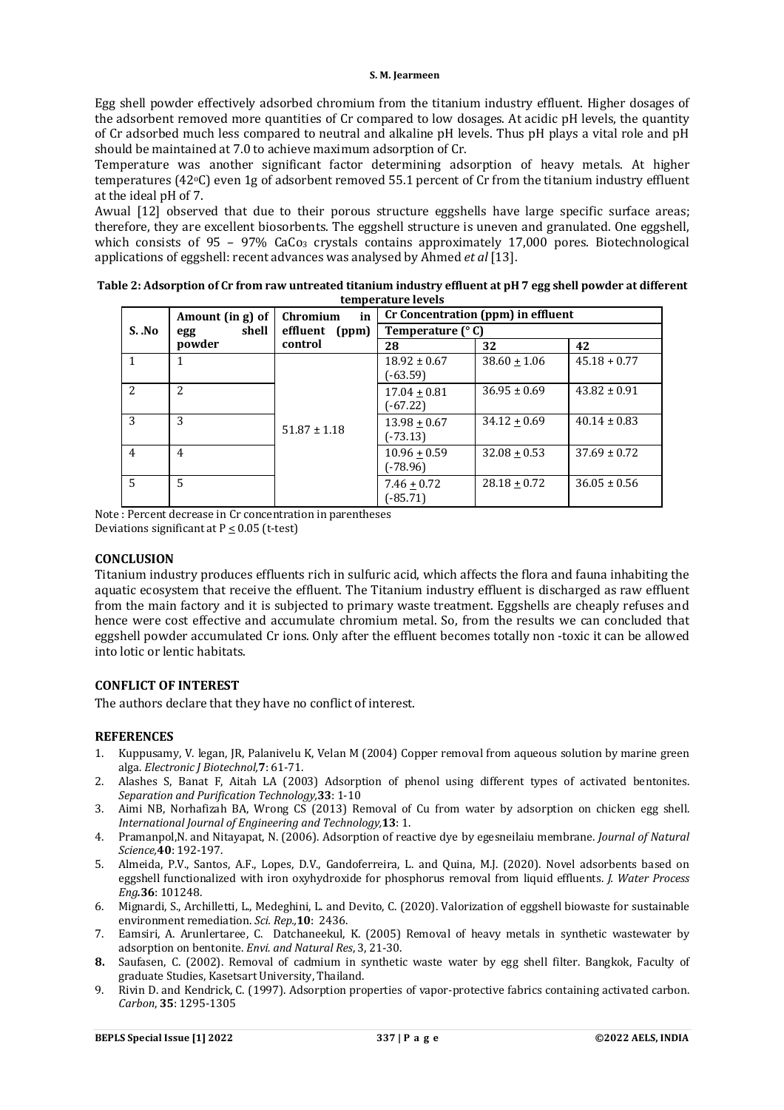Egg shell powder effectively adsorbed chromium from the titanium industry effluent. Higher dosages of the adsorbent removed more quantities of Cr compared to low dosages. At acidic pH levels, the quantity of Cr adsorbed much less compared to neutral and alkaline pH levels. Thus pH plays a vital role and pH should be maintained at 7.0 to achieve maximum adsorption of Cr.

Temperature was another significant factor determining adsorption of heavy metals. At higher temperatures (42oC) even 1g of adsorbent removed 55.1 percent of Cr from the titanium industry effluent at the ideal pH of 7.

Awual [12] observed that due to their porous structure eggshells have large specific surface areas; therefore, they are excellent biosorbents. The eggshell structure is uneven and granulated. One eggshell, which consists of 95 – 97% CaCo<sub>3</sub> crystals contains approximately 17,000 pores. Biotechnological applications of eggshell: recent advances was analysed by Ahmed *et al* [13].

|                | Amount (in g) of | in<br>Chromium    | Cr Concentration (ppm) in effluent<br>Temperature (°C) |                  |                  |  |
|----------------|------------------|-------------------|--------------------------------------------------------|------------------|------------------|--|
| S. No          | shell<br>egg     | effluent<br>(ppm) |                                                        |                  |                  |  |
|                | powder           | control           | 28                                                     | 32               | 42               |  |
|                |                  |                   | $18.92 \pm 0.67$<br>$(-63.59)$                         | $38.60 \pm 1.06$ | $45.18 + 0.77$   |  |
| 2              | $\mathfrak{D}$   |                   | $17.04 + 0.81$<br>$(-67.22)$                           | $36.95 \pm 0.69$ | $43.82 \pm 0.91$ |  |
| 3              | 3                | $51.87 \pm 1.18$  | $13.98 + 0.67$<br>$(-73.13)$                           | $34.12 + 0.69$   | $40.14 \pm 0.83$ |  |
| $\overline{4}$ | 4                |                   | $10.96 + 0.59$<br>(-78.96)                             | $32.08 + 0.53$   | $37.69 \pm 0.72$ |  |
| 5              | 5                |                   | $7.46 \pm 0.72$<br>$(-85.71)$                          | $28.18 + 0.72$   | $36.05 \pm 0.56$ |  |

| Table 2: Adsorption of Cr from raw untreated titanium industry effluent at pH 7 egg shell powder at different |
|---------------------------------------------------------------------------------------------------------------|
| temperature levels                                                                                            |

Note : Percent decrease in Cr concentration in parentheses Deviations significant at  $P \leq 0.05$  (t-test)

#### **CONCLUSION**

Titanium industry produces effluents rich in sulfuric acid, which affects the flora and fauna inhabiting the aquatic ecosystem that receive the effluent. The Titanium industry effluent is discharged as raw effluent from the main factory and it is subjected to primary waste treatment. Eggshells are cheaply refuses and hence were cost effective and accumulate chromium metal. So, from the results we can concluded that eggshell powder accumulated Cr ions. Only after the effluent becomes totally non -toxic it can be allowed into lotic or lentic habitats.

## **CONFLICT OF INTEREST**

The authors declare that they have no conflict of interest.

#### **REFERENCES**

- 1. Kuppusamy, V. legan, JR, Palanivelu K, Velan M (2004) Copper removal from aqueous solution by marine green alga. *Electronic J Biotechnol,***7**: 61-71.
- 2. Alashes S, Banat F, Aitah LA (2003) Adsorption of phenol using different types of activated bentonites. *Separation and Purification Technology,***33**: 1-10
- 3. Aimi NB, Norhafizah BA, Wrong CS (2013) Removal of Cu from water by adsorption on chicken egg shell. *International Journal of Engineering and Technology,***13**: 1.
- 4. Pramanpol,N. and Nitayapat, N. (2006). Adsorption of reactive dye by egesneilaiu membrane. *Journal of Natural Science,***40**: 192-197.
- 5. Almeida, P.V., Santos, A.F., Lopes, D.V., Gandoferreira, L. and Quina, M.J. (2020). Novel adsorbents based on eggshell functionalized with iron oxyhydroxide for phosphorus removal from liquid effluents. *J. Water Process Eng.***36**: 101248.
- 6. Mignardi, S., Archilletti, L., Medeghini, L. and Devito, C. (2020). Valorization of eggshell biowaste for sustainable environment remediation. *Sci. Rep.,***10**: 2436.
- 7. Eamsiri, A. Arunlertaree, C. Datchaneekul, K. (2005) Removal of heavy metals in synthetic wastewater by adsorption on bentonite. *Envi. and Natural Res*, 3, 21-30.
- **8.** Saufasen, C. (2002). Removal of cadmium in synthetic waste water by egg shell filter. Bangkok, Faculty of graduate Studies, Kasetsart University, Thailand.
- 9. Rivin D. and Kendrick, C. (1997). Adsorption properties of vapor-protective fabrics containing activated carbon. *Carbon*, **35**: 1295-1305